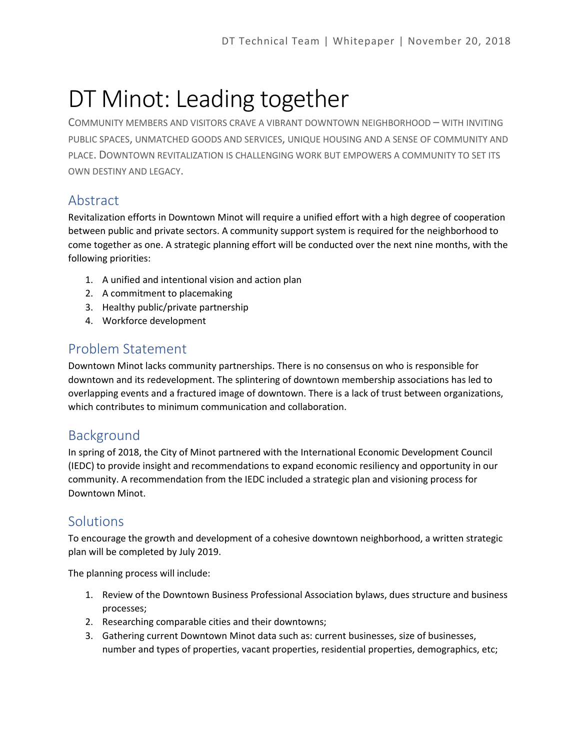# DT Minot: Leading together

COMMUNITY MEMBERS AND VISITORS CRAVE A VIBRANT DOWNTOWN NEIGHBORHOOD – WITH INVITING PUBLIC SPACES, UNMATCHED GOODS AND SERVICES, UNIQUE HOUSING AND A SENSE OF COMMUNITY AND PLACE. DOWNTOWN REVITALIZATION IS CHALLENGING WORK BUT EMPOWERS A COMMUNITY TO SET ITS OWN DESTINY AND LEGACY.

## Abstract

Revitalization efforts in Downtown Minot will require a unified effort with a high degree of cooperation between public and private sectors. A community support system is required for the neighborhood to come together as one. A strategic planning effort will be conducted over the next nine months, with the following priorities:

- 1. A unified and intentional vision and action plan
- 2. A commitment to placemaking
- 3. Healthy public/private partnership
- 4. Workforce development

#### Problem Statement

Downtown Minot lacks community partnerships. There is no consensus on who is responsible for downtown and its redevelopment. The splintering of downtown membership associations has led to overlapping events and a fractured image of downtown. There is a lack of trust between organizations, which contributes to minimum communication and collaboration.

#### Background

In spring of 2018, the City of Minot partnered with the International Economic Development Council (IEDC) to provide insight and recommendations to expand economic resiliency and opportunity in our community. A recommendation from the IEDC included a strategic plan and visioning process for Downtown Minot.

### **Solutions**

To encourage the growth and development of a cohesive downtown neighborhood, a written strategic plan will be completed by July 2019.

The planning process will include:

- 1. Review of the Downtown Business Professional Association bylaws, dues structure and business processes;
- 2. Researching comparable cities and their downtowns;
- 3. Gathering current Downtown Minot data such as: current businesses, size of businesses, number and types of properties, vacant properties, residential properties, demographics, etc;